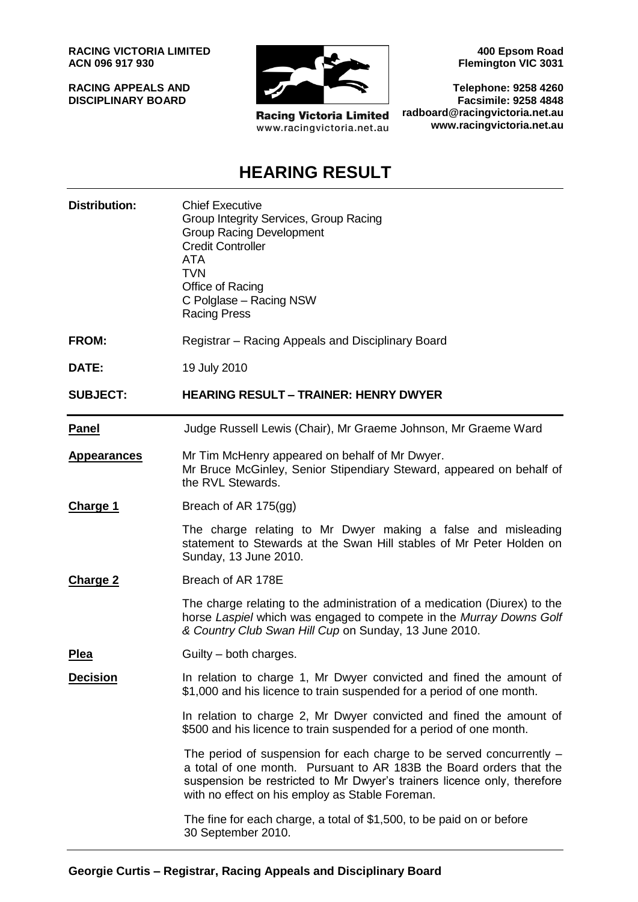**RACING VICTORIA LIMITED ACN 096 917 930**

**RACING APPEALS AND DISCIPLINARY BOARD**



**Racing Victoria Limited** www.racingvictoria.net.au

**400 Epsom Road Flemington VIC 3031**

**Telephone: 9258 4260 Facsimile: 9258 4848 radboard@racingvictoria.net.au www.racingvictoria.net.au**

## **HEARING RESULT**

| <b>Distribution:</b> | <b>Chief Executive</b><br>Group Integrity Services, Group Racing<br><b>Group Racing Development</b><br><b>Credit Controller</b><br>ATA<br><b>TVN</b><br>Office of Racing<br>C Polglase - Racing NSW<br><b>Racing Press</b>                                                |
|----------------------|---------------------------------------------------------------------------------------------------------------------------------------------------------------------------------------------------------------------------------------------------------------------------|
| <b>FROM:</b>         | Registrar – Racing Appeals and Disciplinary Board                                                                                                                                                                                                                         |
| DATE:                | 19 July 2010                                                                                                                                                                                                                                                              |
| <b>SUBJECT:</b>      | <b>HEARING RESULT - TRAINER: HENRY DWYER</b>                                                                                                                                                                                                                              |
| <b>Panel</b>         | Judge Russell Lewis (Chair), Mr Graeme Johnson, Mr Graeme Ward                                                                                                                                                                                                            |
| <b>Appearances</b>   | Mr Tim McHenry appeared on behalf of Mr Dwyer.<br>Mr Bruce McGinley, Senior Stipendiary Steward, appeared on behalf of<br>the RVL Stewards.                                                                                                                               |
| <b>Charge 1</b>      | Breach of AR 175(gg)                                                                                                                                                                                                                                                      |
|                      | The charge relating to Mr Dwyer making a false and misleading<br>statement to Stewards at the Swan Hill stables of Mr Peter Holden on<br>Sunday, 13 June 2010.                                                                                                            |
| <b>Charge 2</b>      | Breach of AR 178E                                                                                                                                                                                                                                                         |
|                      | The charge relating to the administration of a medication (Diurex) to the<br>horse Laspiel which was engaged to compete in the Murray Downs Golf<br>& Country Club Swan Hill Cup on Sunday, 13 June 2010.                                                                 |
| <u>Plea</u>          | Guilty – both charges.                                                                                                                                                                                                                                                    |
| <b>Decision</b>      | In relation to charge 1, Mr Dwyer convicted and fined the amount of<br>\$1,000 and his licence to train suspended for a period of one month.                                                                                                                              |
|                      | In relation to charge 2, Mr Dwyer convicted and fined the amount of<br>\$500 and his licence to train suspended for a period of one month.                                                                                                                                |
|                      | The period of suspension for each charge to be served concurrently -<br>a total of one month. Pursuant to AR 183B the Board orders that the<br>suspension be restricted to Mr Dwyer's trainers licence only, therefore<br>with no effect on his employ as Stable Foreman. |
|                      | The fine for each charge, a total of \$1,500, to be paid on or before<br>30 September 2010.                                                                                                                                                                               |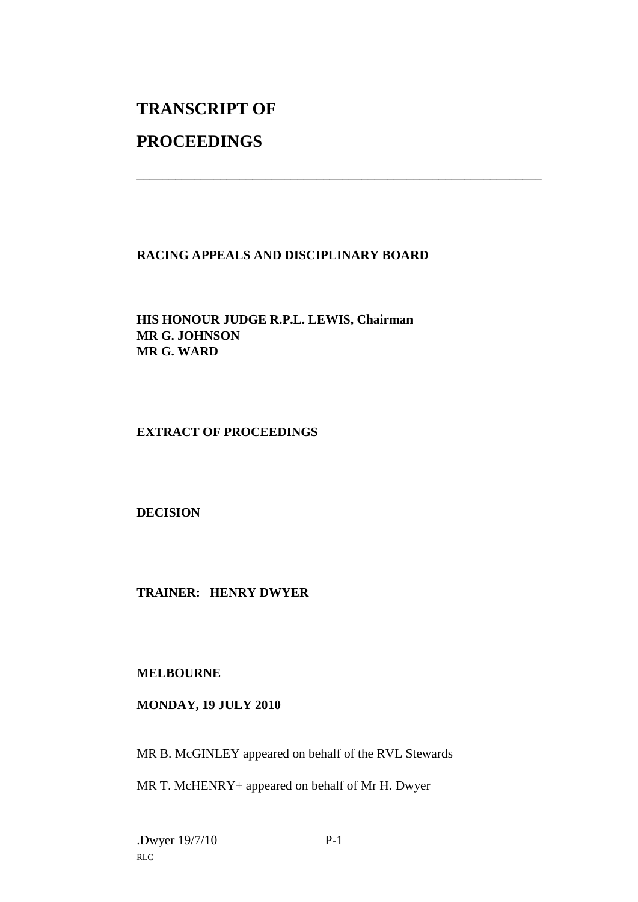# **TRANSCRIPT OF**

## **PROCEEDINGS**

### **RACING APPEALS AND DISCIPLINARY BOARD**

\_\_\_\_\_\_\_\_\_\_\_\_\_\_\_\_\_\_\_\_\_\_\_\_\_\_\_\_\_\_\_\_\_\_\_\_\_\_\_\_\_\_\_\_\_\_\_\_\_\_\_\_\_\_\_\_\_\_\_\_\_\_\_

**HIS HONOUR JUDGE R.P.L. LEWIS, Chairman MR G. JOHNSON MR G. WARD**

#### **EXTRACT OF PROCEEDINGS**

**DECISION**

**TRAINER: HENRY DWYER**

#### **MELBOURNE**

#### **MONDAY, 19 JULY 2010**

MR B. McGINLEY appeared on behalf of the RVL Stewards

MR T. McHENRY+ appeared on behalf of Mr H. Dwyer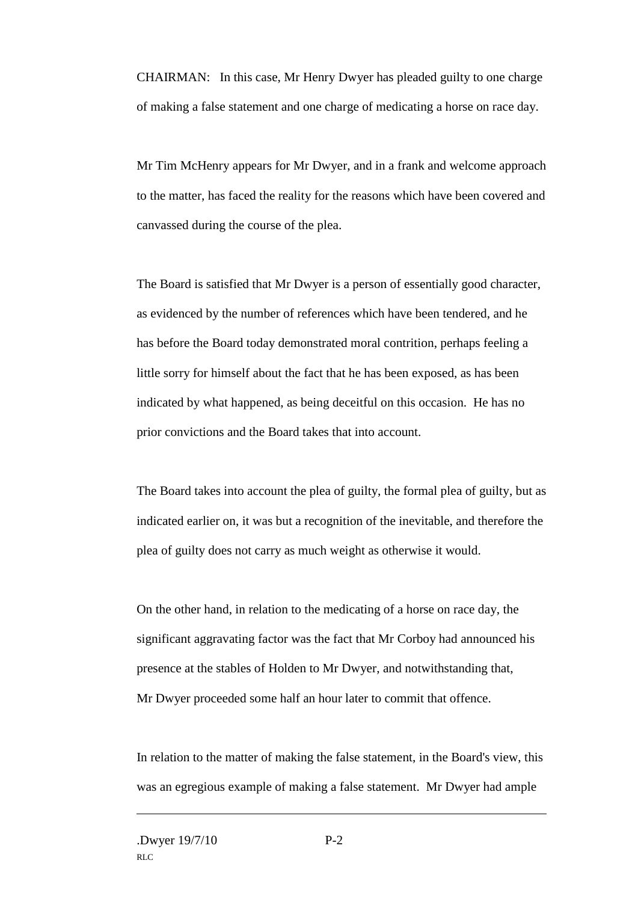CHAIRMAN: In this case, Mr Henry Dwyer has pleaded guilty to one charge of making a false statement and one charge of medicating a horse on race day.

Mr Tim McHenry appears for Mr Dwyer, and in a frank and welcome approach to the matter, has faced the reality for the reasons which have been covered and canvassed during the course of the plea.

The Board is satisfied that Mr Dwyer is a person of essentially good character, as evidenced by the number of references which have been tendered, and he has before the Board today demonstrated moral contrition, perhaps feeling a little sorry for himself about the fact that he has been exposed, as has been indicated by what happened, as being deceitful on this occasion. He has no prior convictions and the Board takes that into account.

The Board takes into account the plea of guilty, the formal plea of guilty, but as indicated earlier on, it was but a recognition of the inevitable, and therefore the plea of guilty does not carry as much weight as otherwise it would.

On the other hand, in relation to the medicating of a horse on race day, the significant aggravating factor was the fact that Mr Corboy had announced his presence at the stables of Holden to Mr Dwyer, and notwithstanding that, Mr Dwyer proceeded some half an hour later to commit that offence.

In relation to the matter of making the false statement, in the Board's view, this was an egregious example of making a false statement. Mr Dwyer had ample